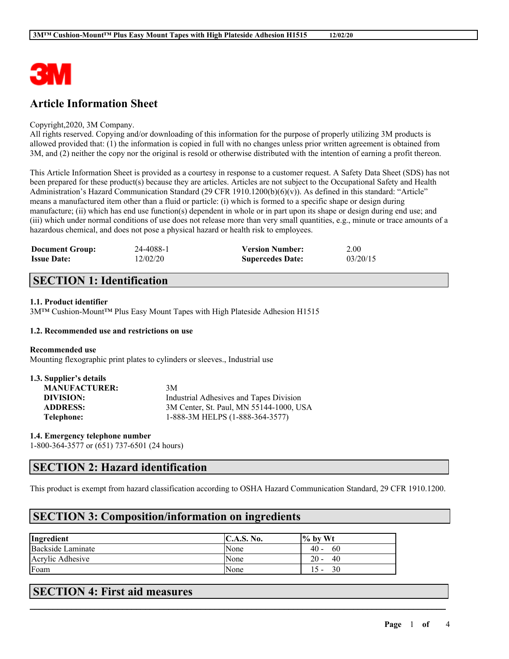

# **Article Information Sheet**

### Copyright,2020, 3M Company.

All rights reserved. Copying and/or downloading of this information for the purpose of properly utilizing 3M products is allowed provided that: (1) the information is copied in full with no changes unless prior written agreement is obtained from 3M, and (2) neither the copy nor the original is resold or otherwise distributed with the intention of earning a profit thereon.

This Article Information Sheet is provided as a courtesy in response to a customer request. A Safety Data Sheet (SDS) has not been prepared for these product(s) because they are articles. Articles are not subject to the Occupational Safety and Health Administration's Hazard Communication Standard (29 CFR 1910.1200(b)(6)(v)). As defined in this standard: "Article" means a manufactured item other than a fluid or particle: (i) which is formed to a specific shape or design during manufacture; (ii) which has end use function(s) dependent in whole or in part upon its shape or design during end use; and (iii) which under normal conditions of use does not release more than very small quantities, e.g., minute or trace amounts of a hazardous chemical, and does not pose a physical hazard or health risk to employees.

| <b>Document Group:</b> | 24-4088-1 | <b>Version Number:</b>  | 2.00     |
|------------------------|-----------|-------------------------|----------|
| <b>Issue Date:</b>     | 12/02/20  | <b>Supercedes Date:</b> | 03/20/15 |

# **SECTION 1: Identification**

### **1.1. Product identifier**

3M™ Cushion-Mount™ Plus Easy Mount Tapes with High Plateside Adhesion H1515

### **1.2. Recommended use and restrictions on use**

#### **Recommended use**

Mounting flexographic print plates to cylinders or sleeves., Industrial use

| 1.3. Supplier's details |                                         |
|-------------------------|-----------------------------------------|
| <b>MANUFACTURER:</b>    | 3M                                      |
| DIVISION:               | Industrial Adhesives and Tapes Division |
| <b>ADDRESS:</b>         | 3M Center, St. Paul, MN 55144-1000, USA |
| Telephone:              | 1-888-3M HELPS (1-888-364-3577)         |

**1.4. Emergency telephone number**

1-800-364-3577 or (651) 737-6501 (24 hours)

## **SECTION 2: Hazard identification**

This product is exempt from hazard classification according to OSHA Hazard Communication Standard, 29 CFR 1910.1200.

 $\mathcal{L}_\mathcal{L} = \mathcal{L}_\mathcal{L} = \mathcal{L}_\mathcal{L} = \mathcal{L}_\mathcal{L} = \mathcal{L}_\mathcal{L} = \mathcal{L}_\mathcal{L} = \mathcal{L}_\mathcal{L} = \mathcal{L}_\mathcal{L} = \mathcal{L}_\mathcal{L} = \mathcal{L}_\mathcal{L} = \mathcal{L}_\mathcal{L} = \mathcal{L}_\mathcal{L} = \mathcal{L}_\mathcal{L} = \mathcal{L}_\mathcal{L} = \mathcal{L}_\mathcal{L} = \mathcal{L}_\mathcal{L} = \mathcal{L}_\mathcal{L}$ 

# **SECTION 3: Composition/information on ingredients**

| Ingredient        | <b>C.A.S. No.</b> | $\frac{1}{6}$ by Wt                  |
|-------------------|-------------------|--------------------------------------|
| Backside Laminate | None              | 40 -<br>60                           |
| Acrylic Adhesive  | None              | 20<br>40<br>$\overline{\phantom{a}}$ |
| Foam              | <b>None</b>       | 30<br>$\overline{\phantom{0}}$       |

# **SECTION 4: First aid measures**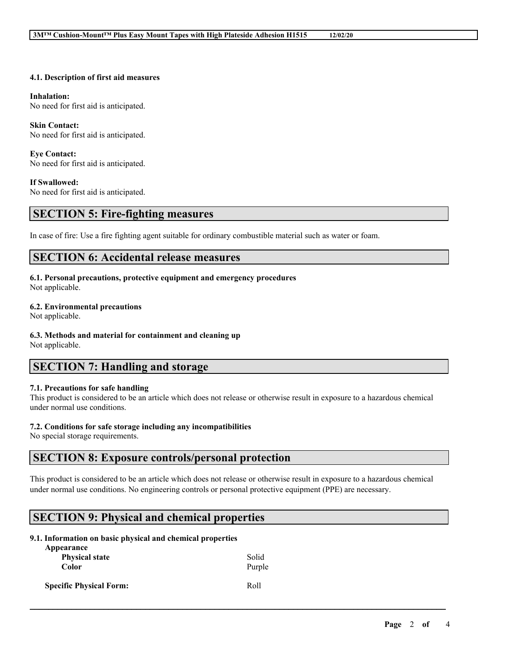### **4.1. Description of first aid measures**

#### **Inhalation:**

No need for first aid is anticipated.

#### **Skin Contact:**

No need for first aid is anticipated.

#### **Eye Contact:** No need for first aid is anticipated.

### **If Swallowed:**

No need for first aid is anticipated.

### **SECTION 5: Fire-fighting measures**

In case of fire: Use a fire fighting agent suitable for ordinary combustible material such as water or foam.

## **SECTION 6: Accidental release measures**

### **6.1. Personal precautions, protective equipment and emergency procedures**

Not applicable.

#### **6.2. Environmental precautions**

Not applicable.

#### **6.3. Methods and material for containment and cleaning up**

Not applicable.

# **SECTION 7: Handling and storage**

#### **7.1. Precautions for safe handling**

This product is considered to be an article which does not release or otherwise result in exposure to a hazardous chemical under normal use conditions.

### **7.2. Conditions for safe storage including any incompatibilities**

No special storage requirements.

## **SECTION 8: Exposure controls/personal protection**

This product is considered to be an article which does not release or otherwise result in exposure to a hazardous chemical under normal use conditions. No engineering controls or personal protective equipment (PPE) are necessary.

 $\mathcal{L}_\mathcal{L} = \mathcal{L}_\mathcal{L} = \mathcal{L}_\mathcal{L} = \mathcal{L}_\mathcal{L} = \mathcal{L}_\mathcal{L} = \mathcal{L}_\mathcal{L} = \mathcal{L}_\mathcal{L} = \mathcal{L}_\mathcal{L} = \mathcal{L}_\mathcal{L} = \mathcal{L}_\mathcal{L} = \mathcal{L}_\mathcal{L} = \mathcal{L}_\mathcal{L} = \mathcal{L}_\mathcal{L} = \mathcal{L}_\mathcal{L} = \mathcal{L}_\mathcal{L} = \mathcal{L}_\mathcal{L} = \mathcal{L}_\mathcal{L}$ 

## **SECTION 9: Physical and chemical properties**

### **9.1. Information on basic physical and chemical properties**

| Appearance<br><b>Physical state</b><br>Color | Solid<br>Purple |
|----------------------------------------------|-----------------|
| <b>Specific Physical Form:</b>               | Roll            |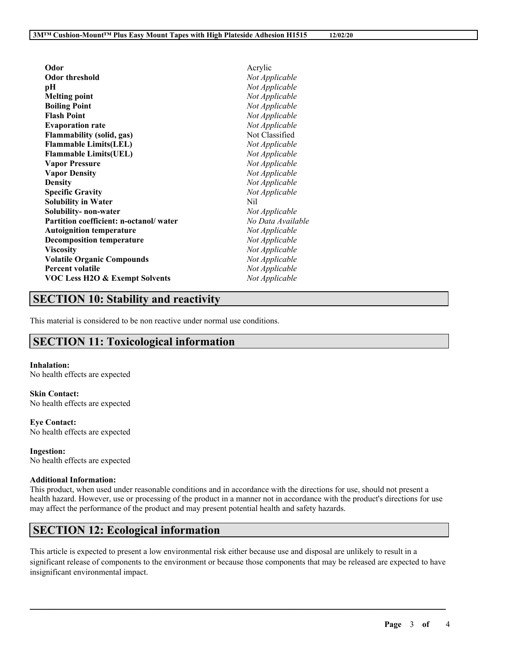| Odor                                      | Acrylic           |
|-------------------------------------------|-------------------|
| <b>Odor threshold</b>                     | Not Applicable    |
| рH                                        | Not Applicable    |
| <b>Melting point</b>                      | Not Applicable    |
| <b>Boiling Point</b>                      | Not Applicable    |
| <b>Flash Point</b>                        | Not Applicable    |
| <b>Evaporation rate</b>                   | Not Applicable    |
| <b>Flammability (solid, gas)</b>          | Not Classified    |
| <b>Flammable Limits(LEL)</b>              | Not Applicable    |
| <b>Flammable Limits(UEL)</b>              | Not Applicable    |
| <b>Vapor Pressure</b>                     | Not Applicable    |
| <b>Vapor Density</b>                      | Not Applicable    |
| <b>Density</b>                            | Not Applicable    |
| <b>Specific Gravity</b>                   | Not Applicable    |
| <b>Solubility in Water</b>                | Nil               |
| Solubility- non-water                     | Not Applicable    |
| Partition coefficient: n-octanol/water    | No Data Available |
| <b>Autoignition temperature</b>           | Not Applicable    |
| <b>Decomposition temperature</b>          | Not Applicable    |
| <b>Viscosity</b>                          | Not Applicable    |
| <b>Volatile Organic Compounds</b>         | Not Applicable    |
| <b>Percent volatile</b>                   | Not Applicable    |
| <b>VOC Less H2O &amp; Exempt Solvents</b> | Not Applicable    |

# **SECTION 10: Stability and reactivity**

This material is considered to be non reactive under normal use conditions.

# **SECTION 11: Toxicological information**

#### **Inhalation:**

No health effects are expected

**Skin Contact:** No health effects are expected

**Eye Contact:** No health effects are expected

**Ingestion:** No health effects are expected

### **Additional Information:**

This product, when used under reasonable conditions and in accordance with the directions for use, should not present a health hazard. However, use or processing of the product in a manner not in accordance with the product's directions for use may affect the performance of the product and may present potential health and safety hazards.

# **SECTION 12: Ecological information**

This article is expected to present a low environmental risk either because use and disposal are unlikely to result in a significant release of components to the environment or because those components that may be released are expected to have insignificant environmental impact.

 $\mathcal{L}_\mathcal{L} = \mathcal{L}_\mathcal{L} = \mathcal{L}_\mathcal{L} = \mathcal{L}_\mathcal{L} = \mathcal{L}_\mathcal{L} = \mathcal{L}_\mathcal{L} = \mathcal{L}_\mathcal{L} = \mathcal{L}_\mathcal{L} = \mathcal{L}_\mathcal{L} = \mathcal{L}_\mathcal{L} = \mathcal{L}_\mathcal{L} = \mathcal{L}_\mathcal{L} = \mathcal{L}_\mathcal{L} = \mathcal{L}_\mathcal{L} = \mathcal{L}_\mathcal{L} = \mathcal{L}_\mathcal{L} = \mathcal{L}_\mathcal{L}$